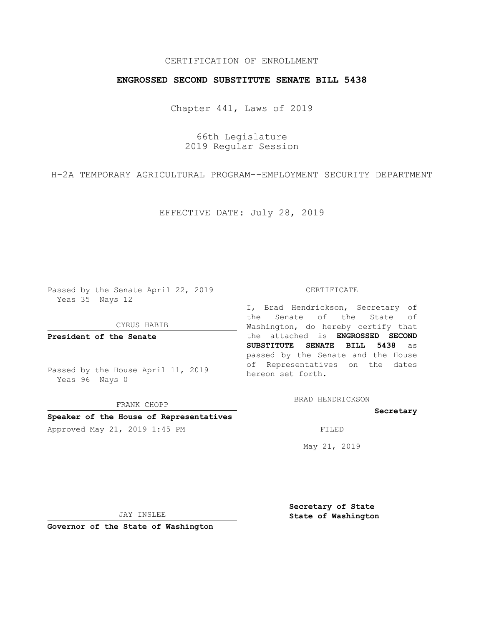## CERTIFICATION OF ENROLLMENT

### **ENGROSSED SECOND SUBSTITUTE SENATE BILL 5438**

Chapter 441, Laws of 2019

66th Legislature 2019 Regular Session

H-2A TEMPORARY AGRICULTURAL PROGRAM--EMPLOYMENT SECURITY DEPARTMENT

EFFECTIVE DATE: July 28, 2019

Passed by the Senate April 22, 2019 Yeas 35 Nays 12

CYRUS HABIB

**President of the Senate**

Passed by the House April 11, 2019 Yeas 96 Nays 0

FRANK CHOPP

# **Speaker of the House of Representatives**

Approved May 21, 2019 1:45 PM FILED

#### CERTIFICATE

I, Brad Hendrickson, Secretary of the Senate of the State of Washington, do hereby certify that the attached is **ENGROSSED SECOND SUBSTITUTE SENATE BILL 5438** as passed by the Senate and the House of Representatives on the dates hereon set forth.

BRAD HENDRICKSON

**Secretary**

May 21, 2019

JAY INSLEE

**Governor of the State of Washington**

**Secretary of State State of Washington**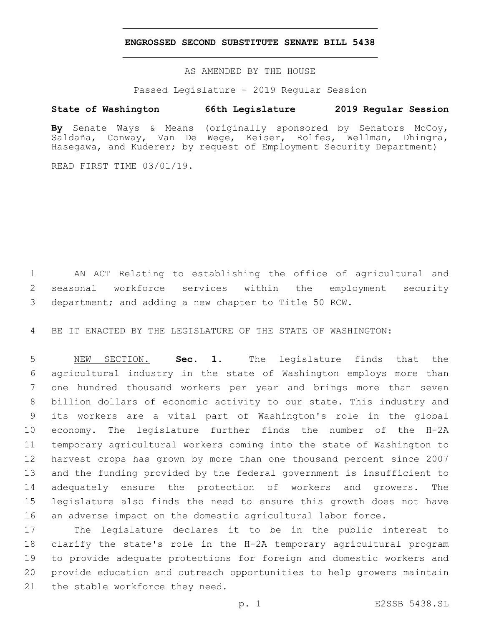### **ENGROSSED SECOND SUBSTITUTE SENATE BILL 5438**

AS AMENDED BY THE HOUSE

Passed Legislature - 2019 Regular Session

## **State of Washington 66th Legislature 2019 Regular Session**

**By** Senate Ways & Means (originally sponsored by Senators McCoy, Saldaña, Conway, Van De Wege, Keiser, Rolfes, Wellman, Dhingra, Hasegawa, and Kuderer; by request of Employment Security Department)

READ FIRST TIME 03/01/19.

 AN ACT Relating to establishing the office of agricultural and seasonal workforce services within the employment security department; and adding a new chapter to Title 50 RCW.

BE IT ENACTED BY THE LEGISLATURE OF THE STATE OF WASHINGTON:

 NEW SECTION. **Sec. 1.** The legislature finds that the agricultural industry in the state of Washington employs more than one hundred thousand workers per year and brings more than seven billion dollars of economic activity to our state. This industry and its workers are a vital part of Washington's role in the global economy. The legislature further finds the number of the H-2A temporary agricultural workers coming into the state of Washington to harvest crops has grown by more than one thousand percent since 2007 and the funding provided by the federal government is insufficient to adequately ensure the protection of workers and growers. The legislature also finds the need to ensure this growth does not have an adverse impact on the domestic agricultural labor force.

 The legislature declares it to be in the public interest to clarify the state's role in the H-2A temporary agricultural program to provide adequate protections for foreign and domestic workers and provide education and outreach opportunities to help growers maintain 21 the stable workforce they need.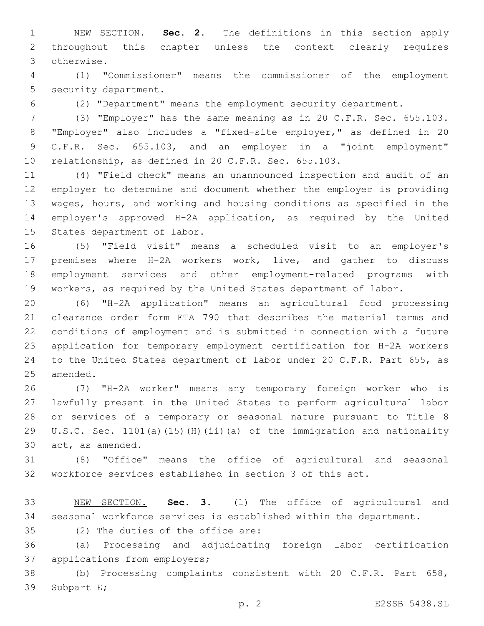NEW SECTION. **Sec. 2.** The definitions in this section apply throughout this chapter unless the context clearly requires otherwise.

 (1) "Commissioner" means the commissioner of the employment 5 security department.

(2) "Department" means the employment security department.

 (3) "Employer" has the same meaning as in 20 C.F.R. Sec. 655.103. "Employer" also includes a "fixed-site employer," as defined in 20 C.F.R. Sec. 655.103, and an employer in a "joint employment" relationship, as defined in 20 C.F.R. Sec. 655.103.

 (4) "Field check" means an unannounced inspection and audit of an employer to determine and document whether the employer is providing wages, hours, and working and housing conditions as specified in the employer's approved H-2A application, as required by the United 15 States department of labor.

 (5) "Field visit" means a scheduled visit to an employer's premises where H-2A workers work, live, and gather to discuss employment services and other employment-related programs with workers, as required by the United States department of labor.

 (6) "H-2A application" means an agricultural food processing clearance order form ETA 790 that describes the material terms and conditions of employment and is submitted in connection with a future application for temporary employment certification for H-2A workers to the United States department of labor under 20 C.F.R. Part 655, as 25 amended.

 (7) "H-2A worker" means any temporary foreign worker who is lawfully present in the United States to perform agricultural labor or services of a temporary or seasonal nature pursuant to Title 8 U.S.C. Sec. 1101(a)(15)(H)(ii)(a) of the immigration and nationality 30 act, as amended.

 (8) "Office" means the office of agricultural and seasonal workforce services established in section 3 of this act.

 NEW SECTION. **Sec. 3.** (1) The office of agricultural and seasonal workforce services is established within the department.

35 (2) The duties of the office are:

 (a) Processing and adjudicating foreign labor certification 37 applications from employers;

 (b) Processing complaints consistent with 20 C.F.R. Part 658, 39 Subpart E;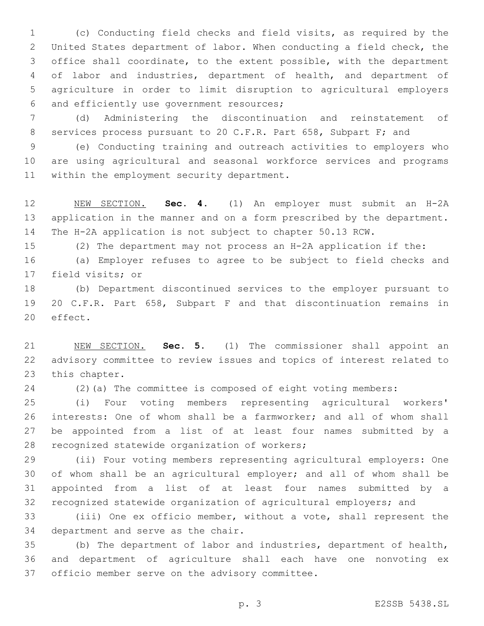(c) Conducting field checks and field visits, as required by the United States department of labor. When conducting a field check, the office shall coordinate, to the extent possible, with the department of labor and industries, department of health, and department of agriculture in order to limit disruption to agricultural employers 6 and efficiently use government resources;

 (d) Administering the discontinuation and reinstatement of services process pursuant to 20 C.F.R. Part 658, Subpart F; and

 (e) Conducting training and outreach activities to employers who are using agricultural and seasonal workforce services and programs 11 within the employment security department.

 NEW SECTION. **Sec. 4.** (1) An employer must submit an H-2A application in the manner and on a form prescribed by the department. The H-2A application is not subject to chapter 50.13 RCW.

(2) The department may not process an H-2A application if the:

 (a) Employer refuses to agree to be subject to field checks and 17 field visits; or

 (b) Department discontinued services to the employer pursuant to 20 C.F.R. Part 658, Subpart F and that discontinuation remains in 20 effect.

 NEW SECTION. **Sec. 5.** (1) The commissioner shall appoint an advisory committee to review issues and topics of interest related to this chapter.

(2)(a) The committee is composed of eight voting members:

 (i) Four voting members representing agricultural workers' interests: One of whom shall be a farmworker; and all of whom shall be appointed from a list of at least four names submitted by a 28 recognized statewide organization of workers;

 (ii) Four voting members representing agricultural employers: One of whom shall be an agricultural employer; and all of whom shall be appointed from a list of at least four names submitted by a recognized statewide organization of agricultural employers; and

 (iii) One ex officio member, without a vote, shall represent the 34 department and serve as the chair.

 (b) The department of labor and industries, department of health, and department of agriculture shall each have one nonvoting ex 37 officio member serve on the advisory committee.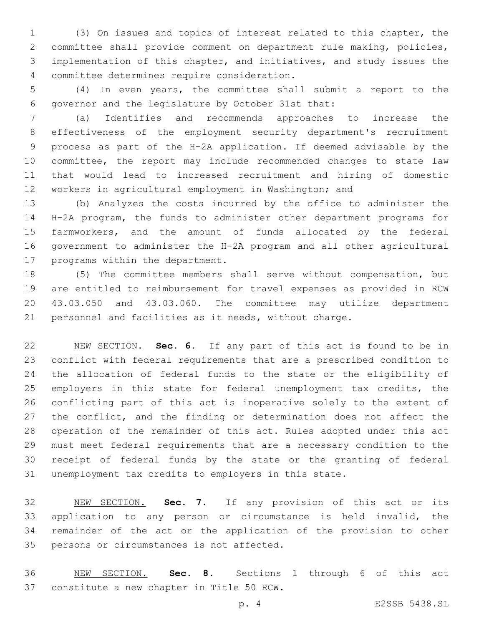(3) On issues and topics of interest related to this chapter, the committee shall provide comment on department rule making, policies, implementation of this chapter, and initiatives, and study issues the committee determines require consideration.4

 (4) In even years, the committee shall submit a report to the 6 governor and the legislature by October 31st that:

 (a) Identifies and recommends approaches to increase the effectiveness of the employment security department's recruitment process as part of the H-2A application. If deemed advisable by the committee, the report may include recommended changes to state law that would lead to increased recruitment and hiring of domestic workers in agricultural employment in Washington; and

 (b) Analyzes the costs incurred by the office to administer the H-2A program, the funds to administer other department programs for farmworkers, and the amount of funds allocated by the federal government to administer the H-2A program and all other agricultural 17 programs within the department.

 (5) The committee members shall serve without compensation, but are entitled to reimbursement for travel expenses as provided in RCW 43.03.050 and 43.03.060. The committee may utilize department personnel and facilities as it needs, without charge.

 NEW SECTION. **Sec. 6.** If any part of this act is found to be in conflict with federal requirements that are a prescribed condition to the allocation of federal funds to the state or the eligibility of 25 employers in this state for federal unemployment tax credits, the conflicting part of this act is inoperative solely to the extent of 27 the conflict, and the finding or determination does not affect the operation of the remainder of this act. Rules adopted under this act must meet federal requirements that are a necessary condition to the receipt of federal funds by the state or the granting of federal unemployment tax credits to employers in this state.

 NEW SECTION. **Sec. 7.** If any provision of this act or its application to any person or circumstance is held invalid, the remainder of the act or the application of the provision to other persons or circumstances is not affected.

 NEW SECTION. **Sec. 8.** Sections 1 through 6 of this act constitute a new chapter in Title 50 RCW.